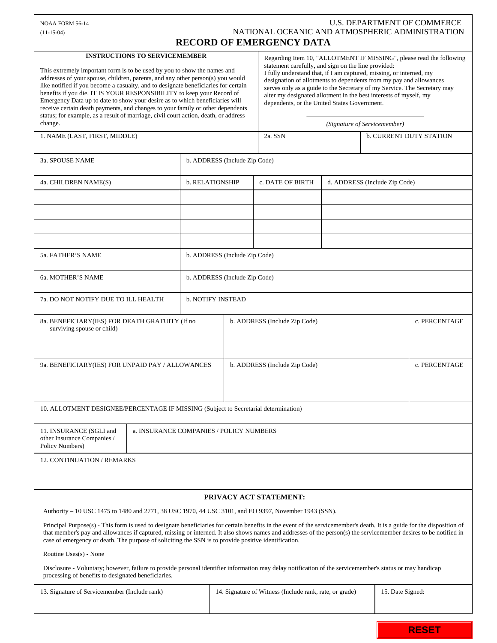## NOAA FORM 56-14 U.S. DEPARTMENT OF COMMERCE (11-15-04) NATIONAL OCEANIC AND ATMOSPHERIC ADMINISTRATION **RECORD OF EMERGENCY DATA**

## **INSTRUCTIONS TO SERVICEMEMBER**

 This extremely important form is to be used by you to show the names and addresses of your spouse, children, parents, and any other person(s) you would like notified if you become a casualty, and to designate beneficiaries for certain benefits if you die. IT IS YOUR RESPONSIBILITY to keep your Record of Emergency Data up to date to show your desire as to which beneficiaries will receive certain death payments, and changes to your family or other dependents status; for example, as a result of marriage, civil court action, death, or address change.

Regarding Item 10, "ALLOTMENT IF MISSING", please read the following statement carefully, and sign on the line provided: I fully understand that, if I am captured, missing, or interned, my designation of allotments to dependents from my pay and allowances serves only as a guide to the Secretary of my Service. The Secretary may alter my designated allotment in the best interests of myself, my dependents, or the United States Government.

| change.                                                                                                                                                                                                                                                                                                                                                                                                                                               |                          |                               | (Signature of Servicemember)                                                |                               |  |                                |  |
|-------------------------------------------------------------------------------------------------------------------------------------------------------------------------------------------------------------------------------------------------------------------------------------------------------------------------------------------------------------------------------------------------------------------------------------------------------|--------------------------|-------------------------------|-----------------------------------------------------------------------------|-------------------------------|--|--------------------------------|--|
| 1. NAME (LAST, FIRST, MIDDLE)                                                                                                                                                                                                                                                                                                                                                                                                                         |                          |                               | 2a. SSN                                                                     |                               |  | <b>b. CURRENT DUTY STATION</b> |  |
|                                                                                                                                                                                                                                                                                                                                                                                                                                                       |                          |                               |                                                                             |                               |  |                                |  |
| 3a. SPOUSE NAME<br>b. ADDRESS (Include Zip Code)                                                                                                                                                                                                                                                                                                                                                                                                      |                          |                               |                                                                             |                               |  |                                |  |
| 4a. CHILDREN NAME(S)                                                                                                                                                                                                                                                                                                                                                                                                                                  |                          | b. RELATIONSHIP               | c. DATE OF BIRTH                                                            | d. ADDRESS (Include Zip Code) |  |                                |  |
|                                                                                                                                                                                                                                                                                                                                                                                                                                                       |                          |                               |                                                                             |                               |  |                                |  |
|                                                                                                                                                                                                                                                                                                                                                                                                                                                       |                          |                               |                                                                             |                               |  |                                |  |
|                                                                                                                                                                                                                                                                                                                                                                                                                                                       |                          |                               |                                                                             |                               |  |                                |  |
|                                                                                                                                                                                                                                                                                                                                                                                                                                                       |                          |                               |                                                                             |                               |  |                                |  |
| 5a. FATHER'S NAME                                                                                                                                                                                                                                                                                                                                                                                                                                     |                          | b. ADDRESS (Include Zip Code) |                                                                             |                               |  |                                |  |
| 6a. MOTHER'S NAME                                                                                                                                                                                                                                                                                                                                                                                                                                     |                          | b. ADDRESS (Include Zip Code) |                                                                             |                               |  |                                |  |
| 7a. DO NOT NOTIFY DUE TO ILL HEALTH                                                                                                                                                                                                                                                                                                                                                                                                                   | <b>b. NOTIFY INSTEAD</b> |                               |                                                                             |                               |  |                                |  |
| 8a. BENEFICIARY(IES) FOR DEATH GRATUITY (If no<br>surviving spouse or child)                                                                                                                                                                                                                                                                                                                                                                          |                          | b. ADDRESS (Include Zip Code) |                                                                             |                               |  | c. PERCENTAGE                  |  |
|                                                                                                                                                                                                                                                                                                                                                                                                                                                       |                          |                               |                                                                             |                               |  |                                |  |
| 9a. BENEFICIARY(IES) FOR UNPAID PAY / ALLOWANCES                                                                                                                                                                                                                                                                                                                                                                                                      |                          | b. ADDRESS (Include Zip Code) |                                                                             |                               |  | c. PERCENTAGE                  |  |
|                                                                                                                                                                                                                                                                                                                                                                                                                                                       |                          |                               |                                                                             |                               |  |                                |  |
|                                                                                                                                                                                                                                                                                                                                                                                                                                                       |                          |                               |                                                                             |                               |  |                                |  |
| 10. ALLOTMENT DESIGNEE/PERCENTAGE IF MISSING (Subject to Secretarial determination)                                                                                                                                                                                                                                                                                                                                                                   |                          |                               |                                                                             |                               |  |                                |  |
| 11. INSURANCE (SGLI and<br>a. INSURANCE COMPANIES / POLICY NUMBERS<br>other Insurance Companies /<br>Policy Numbers)                                                                                                                                                                                                                                                                                                                                  |                          |                               |                                                                             |                               |  |                                |  |
| 12. CONTINUATION / REMARKS                                                                                                                                                                                                                                                                                                                                                                                                                            |                          |                               |                                                                             |                               |  |                                |  |
|                                                                                                                                                                                                                                                                                                                                                                                                                                                       |                          |                               |                                                                             |                               |  |                                |  |
| PRIVACY ACT STATEMENT:                                                                                                                                                                                                                                                                                                                                                                                                                                |                          |                               |                                                                             |                               |  |                                |  |
| Authority – 10 USC 1475 to 1480 and 2771, 38 USC 1970, 44 USC 3101, and EO 9397, November 1943 (SSN).                                                                                                                                                                                                                                                                                                                                                 |                          |                               |                                                                             |                               |  |                                |  |
| Principal Purpose(s) - This form is used to designate beneficiaries for certain benefits in the event of the servicemember's death. It is a guide for the disposition of<br>that member's pay and allowances if captured, missing or interned. It also shows names and addresses of the person(s) the servicemember desires to be notified in<br>case of emergency or death. The purpose of soliciting the SSN is to provide positive identification. |                          |                               |                                                                             |                               |  |                                |  |
| Routine Uses(s) - None                                                                                                                                                                                                                                                                                                                                                                                                                                |                          |                               |                                                                             |                               |  |                                |  |
| Disclosure - Voluntary; however, failure to provide personal identifier information may delay notification of the servicemember's status or may handicap<br>processing of benefits to designated beneficiaries.                                                                                                                                                                                                                                       |                          |                               |                                                                             |                               |  |                                |  |
| 13. Signature of Servicemember (Include rank)                                                                                                                                                                                                                                                                                                                                                                                                         |                          |                               | 15. Date Signed:<br>14. Signature of Witness (Include rank, rate, or grade) |                               |  |                                |  |